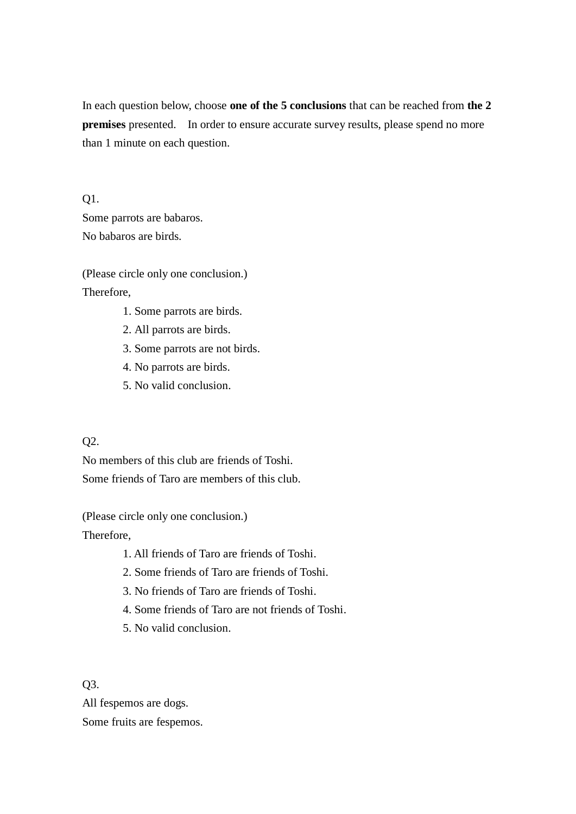In each question below, choose **one of the 5 conclusions** that can be reached from **the 2 premises** presented. In order to ensure accurate survey results, please spend no more than 1 minute on each question.

Q1. Some parrots are babaros. No babaros are birds.

(Please circle only one conclusion.) Therefore,

- 1. Some parrots are birds.
- 2. All parrots are birds.
- 3. Some parrots are not birds.
- 4. No parrots are birds.
- 5. No valid conclusion.

## Q2.

No members of this club are friends of Toshi. Some friends of Taro are members of this club.

(Please circle only one conclusion.)

Therefore,

- 1. All friends of Taro are friends of Toshi.
- 2. Some friends of Taro are friends of Toshi.
- 3. No friends of Taro are friends of Toshi.
- 4. Some friends of Taro are not friends of Toshi.
- 5. No valid conclusion.

Q3.

All fespemos are dogs. Some fruits are fespemos.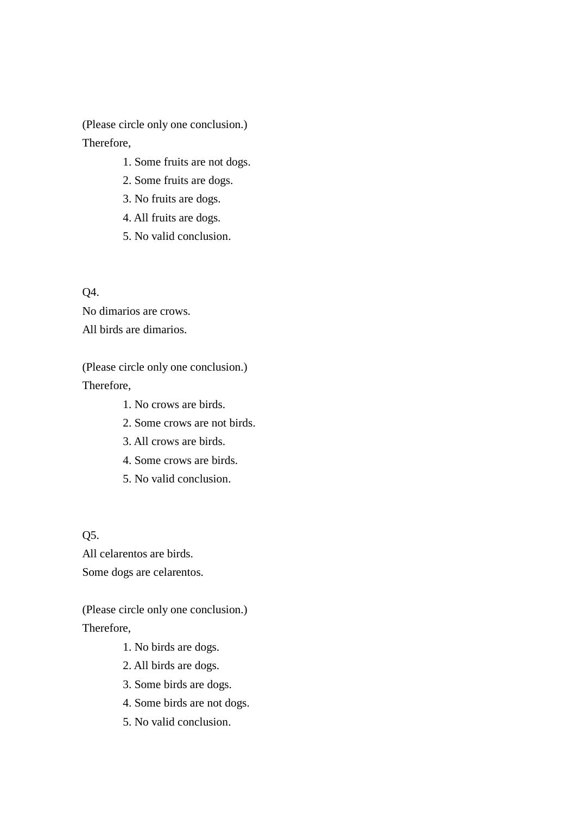(Please circle only one conclusion.) Therefore,

- 1. Some fruits are not dogs.
- 2. Some fruits are dogs.
- 3. No fruits are dogs.
- 4. All fruits are dogs.
- 5. No valid conclusion.

Q4.

No dimarios are crows. All birds are dimarios.

(Please circle only one conclusion.) Therefore,

- 1. No crows are birds.
- 2. Some crows are not birds.
- 3. All crows are birds.
- 4. Some crows are birds.
- 5. No valid conclusion.

Q5.

All celarentos are birds. Some dogs are celarentos.

(Please circle only one conclusion.) Therefore,

- 1. No birds are dogs.
- 2. All birds are dogs.
- 3. Some birds are dogs.
- 4. Some birds are not dogs.
- 5. No valid conclusion.